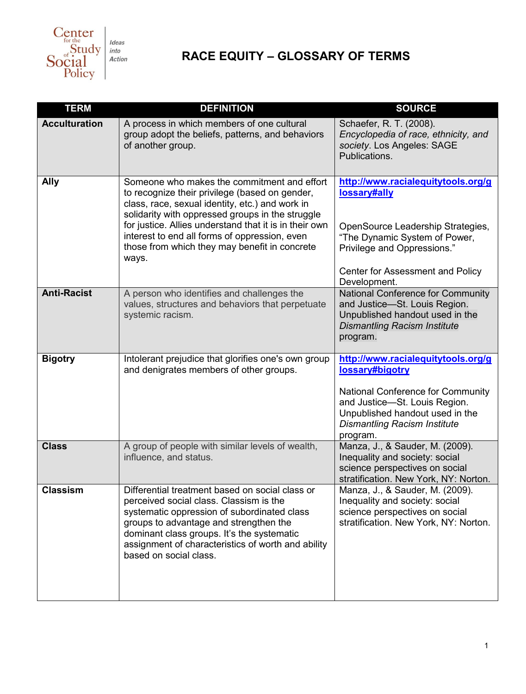

## **RACE EQUITY – GLOSSARY OF TERMS**

| <b>TERM</b>          | <b>DEFINITION</b>                                                                                                                                                                                                                                                                                                                                                         | <b>SOURCE</b>                                                                                                                                                                                                     |
|----------------------|---------------------------------------------------------------------------------------------------------------------------------------------------------------------------------------------------------------------------------------------------------------------------------------------------------------------------------------------------------------------------|-------------------------------------------------------------------------------------------------------------------------------------------------------------------------------------------------------------------|
| <b>Acculturation</b> | A process in which members of one cultural<br>group adopt the beliefs, patterns, and behaviors<br>of another group.                                                                                                                                                                                                                                                       | Schaefer, R. T. (2008).<br>Encyclopedia of race, ethnicity, and<br>society. Los Angeles: SAGE<br>Publications.                                                                                                    |
| <b>Ally</b>          | Someone who makes the commitment and effort<br>to recognize their privilege (based on gender,<br>class, race, sexual identity, etc.) and work in<br>solidarity with oppressed groups in the struggle<br>for justice. Allies understand that it is in their own<br>interest to end all forms of oppression, even<br>those from which they may benefit in concrete<br>ways. | http://www.racialequitytools.org/g<br>lossary#ally<br>OpenSource Leadership Strategies,<br>"The Dynamic System of Power,<br>Privilege and Oppressions."<br>Center for Assessment and Policy<br>Development.       |
| <b>Anti-Racist</b>   | A person who identifies and challenges the<br>values, structures and behaviors that perpetuate<br>systemic racism.                                                                                                                                                                                                                                                        | National Conference for Community<br>and Justice-St. Louis Region.<br>Unpublished handout used in the<br><b>Dismantling Racism Institute</b><br>program.                                                          |
| <b>Bigotry</b>       | Intolerant prejudice that glorifies one's own group<br>and denigrates members of other groups.                                                                                                                                                                                                                                                                            | http://www.racialequitytools.org/g<br>lossary#bigotry<br>National Conference for Community<br>and Justice-St. Louis Region.<br>Unpublished handout used in the<br><b>Dismantling Racism Institute</b><br>program. |
| <b>Class</b>         | A group of people with similar levels of wealth,<br>influence, and status.                                                                                                                                                                                                                                                                                                | Manza, J., & Sauder, M. (2009).<br>Inequality and society: social<br>science perspectives on social<br>stratification. New York, NY: Norton.                                                                      |
| <b>Classism</b>      | Differential treatment based on social class or<br>perceived social class. Classism is the<br>systematic oppression of subordinated class<br>groups to advantage and strengthen the<br>dominant class groups. It's the systematic<br>assignment of characteristics of worth and ability<br>based on social class.                                                         | Manza, J., & Sauder, M. (2009).<br>Inequality and society: social<br>science perspectives on social<br>stratification. New York, NY: Norton.                                                                      |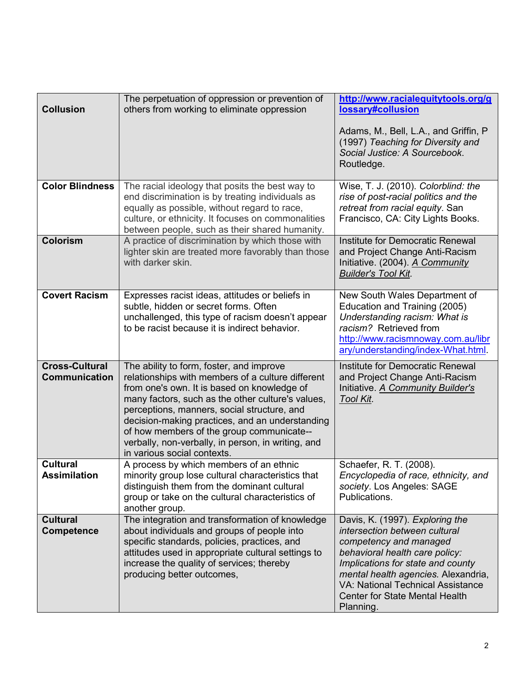| <b>Collusion</b>                              | The perpetuation of oppression or prevention of<br>others from working to eliminate oppression                                                                                                                                                                                                                                                                                                                                        | http://www.racialequitytools.org/g<br>lossary#collusion<br>Adams, M., Bell, L.A., and Griffin, P<br>(1997) Teaching for Diversity and<br>Social Justice: A Sourcebook.<br>Routledge.                                                                                                                |
|-----------------------------------------------|---------------------------------------------------------------------------------------------------------------------------------------------------------------------------------------------------------------------------------------------------------------------------------------------------------------------------------------------------------------------------------------------------------------------------------------|-----------------------------------------------------------------------------------------------------------------------------------------------------------------------------------------------------------------------------------------------------------------------------------------------------|
| <b>Color Blindness</b>                        | The racial ideology that posits the best way to<br>end discrimination is by treating individuals as<br>equally as possible, without regard to race,<br>culture, or ethnicity. It focuses on commonalities<br>between people, such as their shared humanity.                                                                                                                                                                           | Wise, T. J. (2010). Colorblind: the<br>rise of post-racial politics and the<br>retreat from racial equity. San<br>Francisco, CA: City Lights Books.                                                                                                                                                 |
| <b>Colorism</b>                               | A practice of discrimination by which those with<br>lighter skin are treated more favorably than those<br>with darker skin.                                                                                                                                                                                                                                                                                                           | Institute for Democratic Renewal<br>and Project Change Anti-Racism<br>Initiative. (2004). A Community<br><b>Builder's Tool Kit.</b>                                                                                                                                                                 |
| <b>Covert Racism</b>                          | Expresses racist ideas, attitudes or beliefs in<br>subtle, hidden or secret forms. Often<br>unchallenged, this type of racism doesn't appear<br>to be racist because it is indirect behavior.                                                                                                                                                                                                                                         | New South Wales Department of<br>Education and Training (2005)<br>Understanding racism: What is<br>racism? Retrieved from<br>http://www.racismnoway.com.au/libr<br>ary/understanding/index-What.html.                                                                                               |
| <b>Cross-Cultural</b><br><b>Communication</b> | The ability to form, foster, and improve<br>relationships with members of a culture different<br>from one's own. It is based on knowledge of<br>many factors, such as the other culture's values,<br>perceptions, manners, social structure, and<br>decision-making practices, and an understanding<br>of how members of the group communicate--<br>verbally, non-verbally, in person, in writing, and<br>in various social contexts. | Institute for Democratic Renewal<br>and Project Change Anti-Racism<br>Initiative. A Community Builder's<br>Tool Kit.                                                                                                                                                                                |
| <b>Cultural</b><br><b>Assimilation</b>        | A process by which members of an ethnic<br>minority group lose cultural characteristics that<br>distinguish them from the dominant cultural<br>group or take on the cultural characteristics of<br>another group.                                                                                                                                                                                                                     | Schaefer, R. T. (2008).<br>Encyclopedia of race, ethnicity, and<br>society. Los Angeles: SAGE<br>Publications.                                                                                                                                                                                      |
| <b>Cultural</b><br>Competence                 | The integration and transformation of knowledge<br>about individuals and groups of people into<br>specific standards, policies, practices, and<br>attitudes used in appropriate cultural settings to<br>increase the quality of services; thereby<br>producing better outcomes,                                                                                                                                                       | Davis, K. (1997). Exploring the<br>intersection between cultural<br>competency and managed<br>behavioral health care policy:<br>Implications for state and county<br>mental health agencies. Alexandria,<br>VA: National Technical Assistance<br><b>Center for State Mental Health</b><br>Planning. |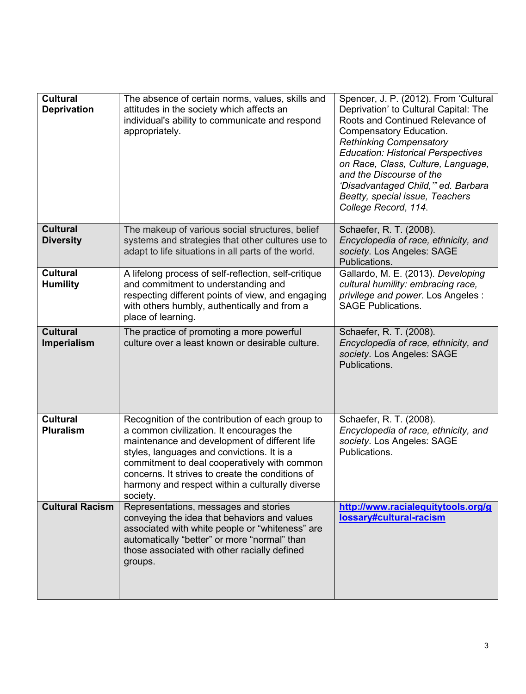| <b>Cultural</b><br><b>Deprivation</b> | The absence of certain norms, values, skills and<br>attitudes in the society which affects an<br>individual's ability to communicate and respond<br>appropriately.                                                                                                                                                                                             | Spencer, J. P. (2012). From 'Cultural<br>Deprivation' to Cultural Capital: The<br>Roots and Continued Relevance of<br>Compensatory Education.<br><b>Rethinking Compensatory</b><br><b>Education: Historical Perspectives</b><br>on Race, Class, Culture, Language,<br>and the Discourse of the<br>'Disadvantaged Child," ed. Barbara<br>Beatty, special issue, Teachers<br>College Record, 114. |
|---------------------------------------|----------------------------------------------------------------------------------------------------------------------------------------------------------------------------------------------------------------------------------------------------------------------------------------------------------------------------------------------------------------|-------------------------------------------------------------------------------------------------------------------------------------------------------------------------------------------------------------------------------------------------------------------------------------------------------------------------------------------------------------------------------------------------|
| <b>Cultural</b><br><b>Diversity</b>   | The makeup of various social structures, belief<br>systems and strategies that other cultures use to<br>adapt to life situations in all parts of the world.                                                                                                                                                                                                    | Schaefer, R. T. (2008).<br>Encyclopedia of race, ethnicity, and<br>society. Los Angeles: SAGE<br>Publications.                                                                                                                                                                                                                                                                                  |
| <b>Cultural</b><br><b>Humility</b>    | A lifelong process of self-reflection, self-critique<br>and commitment to understanding and<br>respecting different points of view, and engaging<br>with others humbly, authentically and from a<br>place of learning.                                                                                                                                         | Gallardo, M. E. (2013). Developing<br>cultural humility: embracing race,<br>privilege and power. Los Angeles :<br><b>SAGE Publications.</b>                                                                                                                                                                                                                                                     |
| <b>Cultural</b><br>Imperialism        | The practice of promoting a more powerful<br>culture over a least known or desirable culture.                                                                                                                                                                                                                                                                  | Schaefer, R. T. (2008).<br>Encyclopedia of race, ethnicity, and<br>society. Los Angeles: SAGE<br>Publications.                                                                                                                                                                                                                                                                                  |
| <b>Cultural</b><br><b>Pluralism</b>   | Recognition of the contribution of each group to<br>a common civilization. It encourages the<br>maintenance and development of different life<br>styles, languages and convictions. It is a<br>commitment to deal cooperatively with common<br>concerns. It strives to create the conditions of<br>harmony and respect within a culturally diverse<br>society. | Schaefer, R. T. (2008).<br>Encyclopedia of race, ethnicity, and<br>society. Los Angeles: SAGE<br>Publications.                                                                                                                                                                                                                                                                                  |
| <b>Cultural Racism</b>                | Representations, messages and stories<br>conveying the idea that behaviors and values<br>associated with white people or "whiteness" are<br>automatically "better" or more "normal" than<br>those associated with other racially defined<br>groups.                                                                                                            | http://www.racialequitytools.org/g<br>lossary#cultural-racism                                                                                                                                                                                                                                                                                                                                   |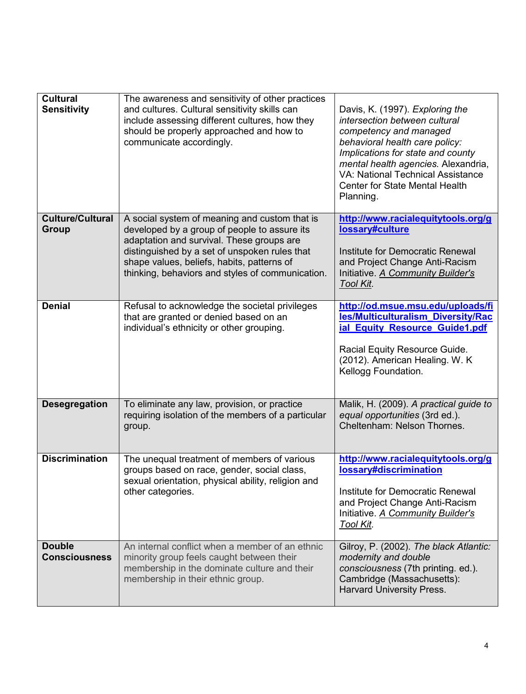| <b>Cultural</b><br><b>Sensitivity</b>   | The awareness and sensitivity of other practices<br>and cultures. Cultural sensitivity skills can<br>include assessing different cultures, how they<br>should be properly approached and how to<br>communicate accordingly.                                                                   | Davis, K. (1997). Exploring the<br>intersection between cultural<br>competency and managed<br>behavioral health care policy:<br>Implications for state and county<br>mental health agencies. Alexandria,<br><b>VA: National Technical Assistance</b><br>Center for State Mental Health<br>Planning. |
|-----------------------------------------|-----------------------------------------------------------------------------------------------------------------------------------------------------------------------------------------------------------------------------------------------------------------------------------------------|-----------------------------------------------------------------------------------------------------------------------------------------------------------------------------------------------------------------------------------------------------------------------------------------------------|
| <b>Culture/Cultural</b><br><b>Group</b> | A social system of meaning and custom that is<br>developed by a group of people to assure its<br>adaptation and survival. These groups are<br>distinguished by a set of unspoken rules that<br>shape values, beliefs, habits, patterns of<br>thinking, behaviors and styles of communication. | http://www.racialequitytools.org/g<br>lossary#culture<br>Institute for Democratic Renewal<br>and Project Change Anti-Racism<br>Initiative. A Community Builder's<br>Tool Kit.                                                                                                                       |
| <b>Denial</b>                           | Refusal to acknowledge the societal privileges<br>that are granted or denied based on an<br>individual's ethnicity or other grouping.                                                                                                                                                         | http://od.msue.msu.edu/uploads/fi<br>les/Multiculturalism_Diversity/Rac<br>ial Equity Resource Guide1.pdf<br>Racial Equity Resource Guide.<br>(2012). American Healing. W. K.<br>Kellogg Foundation.                                                                                                |
| <b>Desegregation</b>                    | To eliminate any law, provision, or practice<br>requiring isolation of the members of a particular<br>group.                                                                                                                                                                                  | Malik, H. (2009). A practical guide to<br>equal opportunities (3rd ed.).<br>Cheltenham: Nelson Thornes.                                                                                                                                                                                             |
| <b>Discrimination</b>                   | The unequal treatment of members of various<br>groups based on race, gender, social class,<br>sexual orientation, physical ability, religion and<br>other categories.                                                                                                                         | http://www.racialequitytools.org/g<br>lossary#discrimination<br>Institute for Democratic Renewal<br>and Project Change Anti-Racism<br>Initiative. A Community Builder's<br>Tool Kit.                                                                                                                |
| <b>Double</b><br><b>Consciousness</b>   | An internal conflict when a member of an ethnic<br>minority group feels caught between their<br>membership in the dominate culture and their<br>membership in their ethnic group.                                                                                                             | Gilroy, P. (2002). The black Atlantic:<br>modernity and double<br>consciousness (7th printing. ed.).<br>Cambridge (Massachusetts):<br>Harvard University Press.                                                                                                                                     |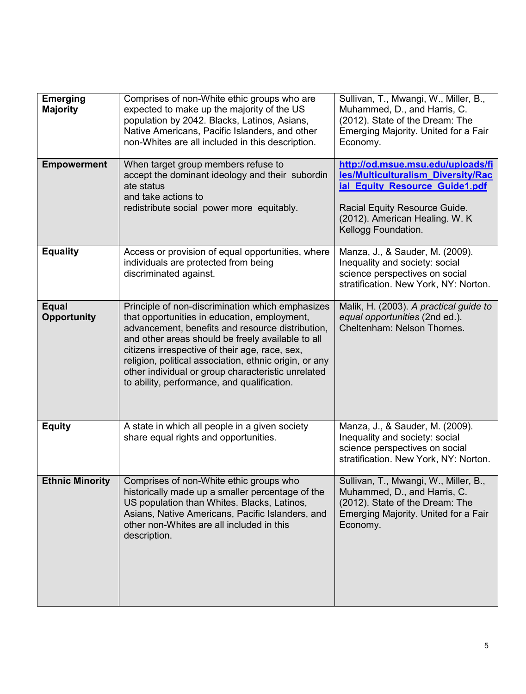| <b>Emerging</b><br><b>Majority</b> | Comprises of non-White ethic groups who are<br>expected to make up the majority of the US<br>population by 2042. Blacks, Latinos, Asians,<br>Native Americans, Pacific Islanders, and other<br>non-Whites are all included in this description.                                                                                                                                                                            | Sullivan, T., Mwangi, W., Miller, B.,<br>Muhammed, D., and Harris, C.<br>(2012). State of the Dream: The<br>Emerging Majority. United for a Fair<br>Economy.                                        |
|------------------------------------|----------------------------------------------------------------------------------------------------------------------------------------------------------------------------------------------------------------------------------------------------------------------------------------------------------------------------------------------------------------------------------------------------------------------------|-----------------------------------------------------------------------------------------------------------------------------------------------------------------------------------------------------|
| <b>Empowerment</b>                 | When target group members refuse to<br>accept the dominant ideology and their subordin<br>ate status<br>and take actions to<br>redistribute social power more equitably.                                                                                                                                                                                                                                                   | http://od.msue.msu.edu/uploads/fi<br>les/Multiculturalism_Diversity/Rac<br>ial Equity Resource Guide1.pdf<br>Racial Equity Resource Guide.<br>(2012). American Healing. W. K<br>Kellogg Foundation. |
| <b>Equality</b>                    | Access or provision of equal opportunities, where<br>individuals are protected from being<br>discriminated against.                                                                                                                                                                                                                                                                                                        | Manza, J., & Sauder, M. (2009).<br>Inequality and society: social<br>science perspectives on social<br>stratification. New York, NY: Norton.                                                        |
| <b>Equal</b><br><b>Opportunity</b> | Principle of non-discrimination which emphasizes<br>that opportunities in education, employment,<br>advancement, benefits and resource distribution,<br>and other areas should be freely available to all<br>citizens irrespective of their age, race, sex,<br>religion, political association, ethnic origin, or any<br>other individual or group characteristic unrelated<br>to ability, performance, and qualification. | Malik, H. (2003). A practical guide to<br>equal opportunities (2nd ed.).<br>Cheltenham: Nelson Thornes.                                                                                             |
| <b>Equity</b>                      | A state in which all people in a given society<br>share equal rights and opportunities.                                                                                                                                                                                                                                                                                                                                    | Manza, J., & Sauder, M. (2009).<br>Inequality and society: social<br>science perspectives on social<br>stratification. New York, NY: Norton.                                                        |
| <b>Ethnic Minority</b>             | Comprises of non-White ethic groups who<br>historically made up a smaller percentage of the<br>US population than Whites. Blacks, Latinos,<br>Asians, Native Americans, Pacific Islanders, and<br>other non-Whites are all included in this<br>description.                                                                                                                                                                | Sullivan, T., Mwangi, W., Miller, B.,<br>Muhammed, D., and Harris, C.<br>(2012). State of the Dream: The<br>Emerging Majority. United for a Fair<br>Economy.                                        |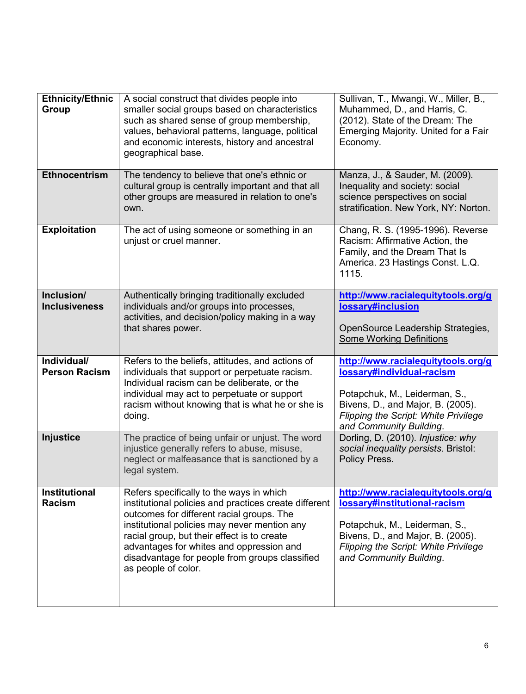| <b>Ethnicity/Ethnic</b><br><b>Group</b> | A social construct that divides people into<br>smaller social groups based on characteristics<br>such as shared sense of group membership,<br>values, behavioral patterns, language, political<br>and economic interests, history and ancestral<br>geographical base.                                                                                              | Sullivan, T., Mwangi, W., Miller, B.,<br>Muhammed, D., and Harris, C.<br>(2012). State of the Dream: The<br>Emerging Majority. United for a Fair<br>Economy.                                                       |
|-----------------------------------------|--------------------------------------------------------------------------------------------------------------------------------------------------------------------------------------------------------------------------------------------------------------------------------------------------------------------------------------------------------------------|--------------------------------------------------------------------------------------------------------------------------------------------------------------------------------------------------------------------|
| <b>Ethnocentrism</b>                    | The tendency to believe that one's ethnic or<br>cultural group is centrally important and that all<br>other groups are measured in relation to one's<br>own.                                                                                                                                                                                                       | Manza, J., & Sauder, M. (2009).<br>Inequality and society: social<br>science perspectives on social<br>stratification. New York, NY: Norton.                                                                       |
| <b>Exploitation</b>                     | The act of using someone or something in an<br>unjust or cruel manner.                                                                                                                                                                                                                                                                                             | Chang, R. S. (1995-1996). Reverse<br>Racism: Affirmative Action, the<br>Family, and the Dream That Is<br>America. 23 Hastings Const. L.Q.<br>1115.                                                                 |
| Inclusion/<br><b>Inclusiveness</b>      | Authentically bringing traditionally excluded<br>individuals and/or groups into processes,<br>activities, and decision/policy making in a way<br>that shares power.                                                                                                                                                                                                | http://www.racialequitytools.org/g<br>lossary#inclusion<br>OpenSource Leadership Strategies,<br><b>Some Working Definitions</b>                                                                                    |
| Individual/<br><b>Person Racism</b>     | Refers to the beliefs, attitudes, and actions of<br>individuals that support or perpetuate racism.<br>Individual racism can be deliberate, or the<br>individual may act to perpetuate or support<br>racism without knowing that is what he or she is<br>doing.                                                                                                     | http://www.racialequitytools.org/g<br>lossary#individual-racism<br>Potapchuk, M., Leiderman, S.,<br>Bivens, D., and Major, B. (2005).<br><b>Flipping the Script: White Privilege</b><br>and Community Building.    |
| <b>Injustice</b>                        | The practice of being unfair or unjust. The word<br>injustice generally refers to abuse, misuse,<br>neglect or malfeasance that is sanctioned by a<br>legal system.                                                                                                                                                                                                | Dorling, D. (2010). Injustice: why<br>social inequality persists. Bristol:<br>Policy Press.                                                                                                                        |
| <b>Institutional</b><br><b>Racism</b>   | Refers specifically to the ways in which<br>institutional policies and practices create different<br>outcomes for different racial groups. The<br>institutional policies may never mention any<br>racial group, but their effect is to create<br>advantages for whites and oppression and<br>disadvantage for people from groups classified<br>as people of color. | http://www.racialequitytools.org/g<br>lossary#institutional-racism<br>Potapchuk, M., Leiderman, S.,<br>Bivens, D., and Major, B. (2005).<br><b>Flipping the Script: White Privilege</b><br>and Community Building. |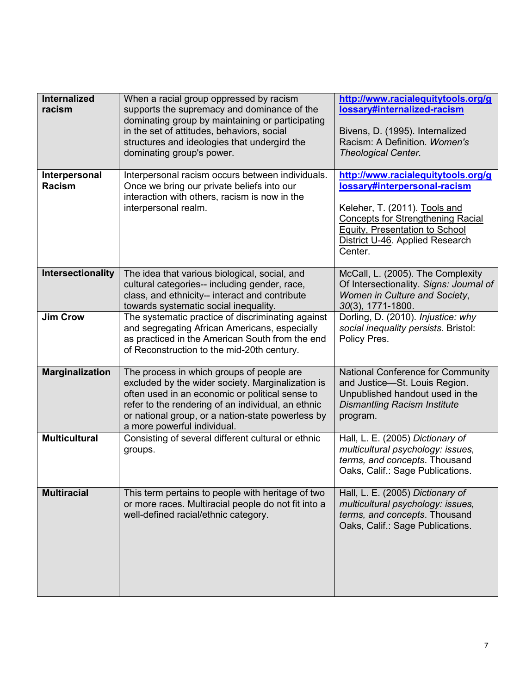| <b>Internalized</b><br>racism  | When a racial group oppressed by racism<br>supports the supremacy and dominance of the<br>dominating group by maintaining or participating<br>in the set of attitudes, behaviors, social<br>structures and ideologies that undergird the<br>dominating group's power.                       | http://www.racialequitytools.org/g<br>lossary#internalized-racism<br>Bivens, D. (1995). Internalized<br>Racism: A Definition. Women's<br><b>Theological Center.</b>                                                                    |
|--------------------------------|---------------------------------------------------------------------------------------------------------------------------------------------------------------------------------------------------------------------------------------------------------------------------------------------|----------------------------------------------------------------------------------------------------------------------------------------------------------------------------------------------------------------------------------------|
| Interpersonal<br><b>Racism</b> | Interpersonal racism occurs between individuals.<br>Once we bring our private beliefs into our<br>interaction with others, racism is now in the<br>interpersonal realm.                                                                                                                     | http://www.racialequitytools.org/g<br>lossary#interpersonal-racism<br>Keleher, T. (2011). Tools and<br><b>Concepts for Strengthening Racial</b><br><b>Equity, Presentation to School</b><br>District U-46. Applied Research<br>Center. |
| Intersectionality              | The idea that various biological, social, and<br>cultural categories-- including gender, race,<br>class, and ethnicity-- interact and contribute<br>towards systematic social inequality.                                                                                                   | McCall, L. (2005). The Complexity<br>Of Intersectionality. Signs: Journal of<br>Women in Culture and Society,<br>30(3), 1771-1800.                                                                                                     |
| <b>Jim Crow</b>                | The systematic practice of discriminating against<br>and segregating African Americans, especially<br>as practiced in the American South from the end<br>of Reconstruction to the mid-20th century.                                                                                         | Dorling, D. (2010). Injustice: why<br>social inequality persists. Bristol:<br>Policy Pres.                                                                                                                                             |
| <b>Marginalization</b>         | The process in which groups of people are<br>excluded by the wider society. Marginalization is<br>often used in an economic or political sense to<br>refer to the rendering of an individual, an ethnic<br>or national group, or a nation-state powerless by<br>a more powerful individual. | National Conference for Community<br>and Justice-St. Louis Region.<br>Unpublished handout used in the<br><b>Dismantling Racism Institute</b><br>program.                                                                               |
| <b>Multicultural</b>           | Consisting of several different cultural or ethnic<br>groups.                                                                                                                                                                                                                               | Hall, L. E. (2005) Dictionary of<br>multicultural psychology: issues,<br>terms, and concepts. Thousand<br>Oaks, Calif.: Sage Publications.                                                                                             |
| <b>Multiracial</b>             | This term pertains to people with heritage of two<br>or more races. Multiracial people do not fit into a<br>well-defined racial/ethnic category.                                                                                                                                            | Hall, L. E. (2005) Dictionary of<br>multicultural psychology: issues,<br>terms, and concepts. Thousand<br>Oaks, Calif.: Sage Publications.                                                                                             |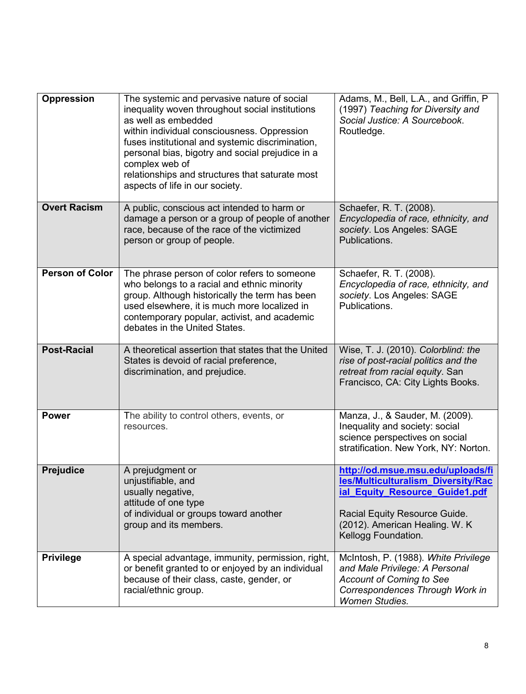| Oppression             | The systemic and pervasive nature of social<br>inequality woven throughout social institutions<br>as well as embedded<br>within individual consciousness. Oppression<br>fuses institutional and systemic discrimination,<br>personal bias, bigotry and social prejudice in a<br>complex web of<br>relationships and structures that saturate most<br>aspects of life in our society. | Adams, M., Bell, L.A., and Griffin, P<br>(1997) Teaching for Diversity and<br>Social Justice: A Sourcebook.<br>Routledge.                                                                            |
|------------------------|--------------------------------------------------------------------------------------------------------------------------------------------------------------------------------------------------------------------------------------------------------------------------------------------------------------------------------------------------------------------------------------|------------------------------------------------------------------------------------------------------------------------------------------------------------------------------------------------------|
| <b>Overt Racism</b>    | A public, conscious act intended to harm or<br>damage a person or a group of people of another<br>race, because of the race of the victimized<br>person or group of people.                                                                                                                                                                                                          | Schaefer, R. T. (2008).<br>Encyclopedia of race, ethnicity, and<br>society. Los Angeles: SAGE<br>Publications.                                                                                       |
| <b>Person of Color</b> | The phrase person of color refers to someone<br>who belongs to a racial and ethnic minority<br>group. Although historically the term has been<br>used elsewhere, it is much more localized in<br>contemporary popular, activist, and academic<br>debates in the United States.                                                                                                       | Schaefer, R. T. (2008).<br>Encyclopedia of race, ethnicity, and<br>society. Los Angeles: SAGE<br>Publications.                                                                                       |
| <b>Post-Racial</b>     | A theoretical assertion that states that the United<br>States is devoid of racial preference,<br>discrimination, and prejudice.                                                                                                                                                                                                                                                      | Wise, T. J. (2010). Colorblind: the<br>rise of post-racial politics and the<br>retreat from racial equity. San<br>Francisco, CA: City Lights Books.                                                  |
| <b>Power</b>           | The ability to control others, events, or<br>resources.                                                                                                                                                                                                                                                                                                                              | Manza, J., & Sauder, M. (2009).<br>Inequality and society: social<br>science perspectives on social<br>stratification. New York, NY: Norton.                                                         |
| <b>Prejudice</b>       | A prejudgment or<br>unjustifiable, and<br>usually negative,<br>attitude of one type<br>of individual or groups toward another<br>group and its members.                                                                                                                                                                                                                              | http://od.msue.msu.edu/uploads/fi<br>les/Multiculturalism_Diversity/Rac<br>ial Equity Resource Guide1.pdf<br>Racial Equity Resource Guide.<br>(2012). American Healing. W. K.<br>Kellogg Foundation. |
| <b>Privilege</b>       | A special advantage, immunity, permission, right,<br>or benefit granted to or enjoyed by an individual<br>because of their class, caste, gender, or<br>racial/ethnic group.                                                                                                                                                                                                          | McIntosh, P. (1988). White Privilege<br>and Male Privilege: A Personal<br><b>Account of Coming to See</b><br>Correspondences Through Work in<br><b>Women Studies.</b>                                |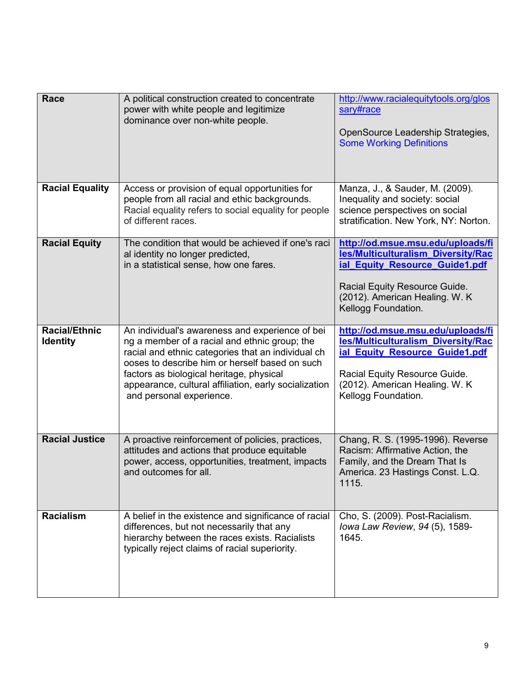| <b>Race</b>                             | A political construction created to concentrate<br>power with white people and legitimize<br>dominance over non-white people.                                                                                                                                                                                                             | http://www.racialequitytools.org/glos<br>sary#race<br>OpenSource Leadership Strategies,<br><b>Some Working Definitions</b>                                                                           |
|-----------------------------------------|-------------------------------------------------------------------------------------------------------------------------------------------------------------------------------------------------------------------------------------------------------------------------------------------------------------------------------------------|------------------------------------------------------------------------------------------------------------------------------------------------------------------------------------------------------|
| <b>Racial Equality</b>                  | Access or provision of equal opportunities for<br>people from all racial and ethic backgrounds.<br>Racial equality refers to social equality for people<br>of different races.                                                                                                                                                            | Manza, J., & Sauder, M. (2009).<br>Inequality and society: social<br>science perspectives on social<br>stratification. New York, NY: Norton.                                                         |
| <b>Racial Equity</b>                    | The condition that would be achieved if one's raci<br>al identity no longer predicted,<br>in a statistical sense, how one fares.                                                                                                                                                                                                          | http://od.msue.msu.edu/uploads/fi<br>les/Multiculturalism Diversity/Rac<br>ial Equity Resource Guide1.pdf<br>Racial Equity Resource Guide.<br>(2012). American Healing. W. K.<br>Kellogg Foundation. |
| <b>Racial/Ethnic</b><br><b>Identity</b> | An individual's awareness and experience of bei<br>ng a member of a racial and ethnic group; the<br>racial and ethnic categories that an individual ch<br>ooses to describe him or herself based on such<br>factors as biological heritage, physical<br>appearance, cultural affiliation, early socialization<br>and personal experience. | http://od.msue.msu.edu/uploads/fi<br>les/Multiculturalism_Diversity/Rac<br>ial Equity Resource Guide1.pdf<br>Racial Equity Resource Guide.<br>(2012). American Healing. W. K<br>Kellogg Foundation.  |
| <b>Racial Justice</b>                   | A proactive reinforcement of policies, practices,<br>attitudes and actions that produce equitable<br>power, access, opportunities, treatment, impacts<br>and outcomes for all.                                                                                                                                                            | Chang, R. S. (1995-1996). Reverse<br>Racism: Affirmative Action, the<br>Family, and the Dream That Is<br>America. 23 Hastings Const. L.Q.<br>1115.                                                   |
| <b>Racialism</b>                        | A belief in the existence and significance of racial<br>differences, but not necessarily that any<br>hierarchy between the races exists. Racialists<br>typically reject claims of racial superiority.                                                                                                                                     | Cho, S. (2009). Post-Racialism.<br>Iowa Law Review, 94 (5), 1589-<br>1645.                                                                                                                           |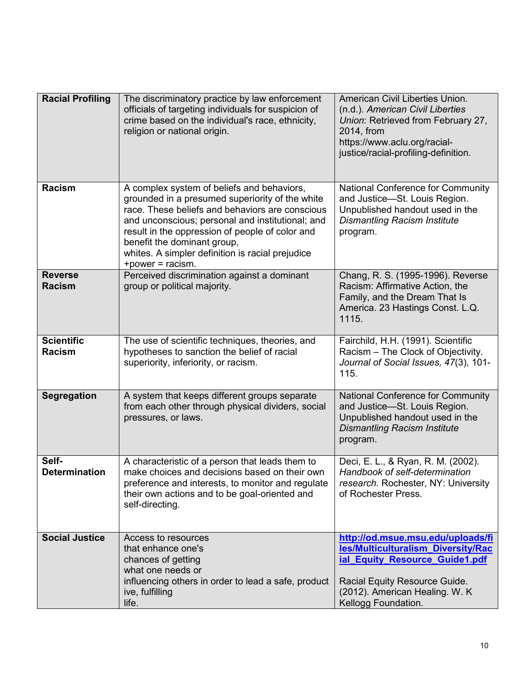| <b>Racial Profiling</b>            | The discriminatory practice by law enforcement<br>officials of targeting individuals for suspicion of<br>crime based on the individual's race, ethnicity,<br>religion or national origin.                                                                                                                                                                      | American Civil Liberties Union.<br>(n.d.). American Civil Liberties<br>Union: Retrieved from February 27,<br>2014, from<br>https://www.aclu.org/racial-<br>justice/racial-profiling-definition.      |
|------------------------------------|----------------------------------------------------------------------------------------------------------------------------------------------------------------------------------------------------------------------------------------------------------------------------------------------------------------------------------------------------------------|------------------------------------------------------------------------------------------------------------------------------------------------------------------------------------------------------|
| <b>Racism</b>                      | A complex system of beliefs and behaviors,<br>grounded in a presumed superiority of the white<br>race. These beliefs and behaviors are conscious<br>and unconscious; personal and institutional; and<br>result in the oppression of people of color and<br>benefit the dominant group,<br>whites. A simpler definition is racial prejudice<br>+power = racism. | National Conference for Community<br>and Justice-St. Louis Region.<br>Unpublished handout used in the<br><b>Dismantling Racism Institute</b><br>program.                                             |
| <b>Reverse</b><br><b>Racism</b>    | Perceived discrimination against a dominant<br>group or political majority.                                                                                                                                                                                                                                                                                    | Chang, R. S. (1995-1996). Reverse<br>Racism: Affirmative Action, the<br>Family, and the Dream That Is<br>America. 23 Hastings Const. L.Q.<br>1115.                                                   |
| <b>Scientific</b><br><b>Racism</b> | The use of scientific techniques, theories, and<br>hypotheses to sanction the belief of racial<br>superiority, inferiority, or racism.                                                                                                                                                                                                                         | Fairchild, H.H. (1991). Scientific<br>Racism - The Clock of Objectivity.<br>Journal of Social Issues, 47(3), 101-<br>115.                                                                            |
| Segregation                        | A system that keeps different groups separate<br>from each other through physical dividers, social<br>pressures, or laws.                                                                                                                                                                                                                                      | National Conference for Community<br>and Justice-St. Louis Region.<br>Unpublished handout used in the<br><b>Dismantling Racism Institute</b><br>program.                                             |
| Self-<br><b>Determination</b>      | A characteristic of a person that leads them to<br>make choices and decisions based on their own<br>preference and interests, to monitor and regulate<br>their own actions and to be goal-oriented and<br>self-directing.                                                                                                                                      | Deci, E. L., & Ryan, R. M. (2002).<br>Handbook of self-determination<br>research. Rochester, NY: University<br>of Rochester Press.                                                                   |
| <b>Social Justice</b>              | Access to resources<br>that enhance one's<br>chances of getting<br>what one needs or<br>influencing others in order to lead a safe, product<br>ive, fulfilling<br>life.                                                                                                                                                                                        | http://od.msue.msu.edu/uploads/fi<br>les/Multiculturalism_Diversity/Rac<br>ial Equity Resource Guide1.pdf<br>Racial Equity Resource Guide.<br>(2012). American Healing. W. K.<br>Kellogg Foundation. |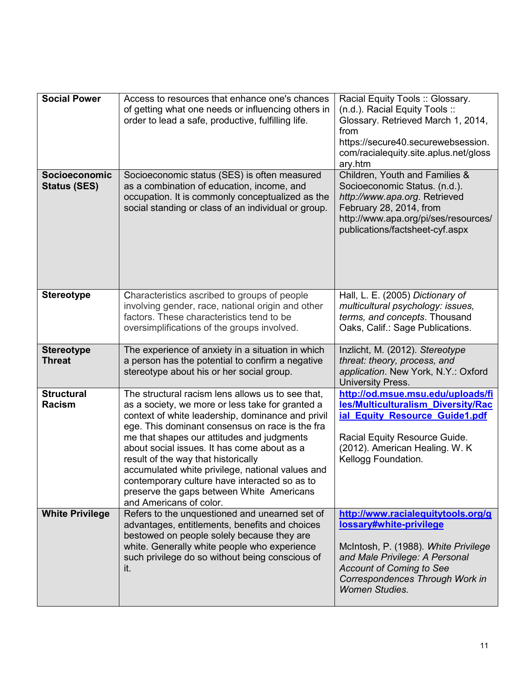| <b>Social Power</b>                  | Access to resources that enhance one's chances<br>of getting what one needs or influencing others in<br>order to lead a safe, productive, fulfilling life.                                                                                                                                                                                                                                                                                                                                                                     | Racial Equity Tools :: Glossary.<br>(n.d.). Racial Equity Tools ::<br>Glossary. Retrieved March 1, 2014,<br>from<br>https://secure40.securewebsession.<br>com/racialequity.site.aplus.net/gloss<br>ary.htm                             |
|--------------------------------------|--------------------------------------------------------------------------------------------------------------------------------------------------------------------------------------------------------------------------------------------------------------------------------------------------------------------------------------------------------------------------------------------------------------------------------------------------------------------------------------------------------------------------------|----------------------------------------------------------------------------------------------------------------------------------------------------------------------------------------------------------------------------------------|
| Socioeconomic<br><b>Status (SES)</b> | Socioeconomic status (SES) is often measured<br>as a combination of education, income, and<br>occupation. It is commonly conceptualized as the<br>social standing or class of an individual or group.                                                                                                                                                                                                                                                                                                                          | Children, Youth and Families &<br>Socioeconomic Status. (n.d.).<br>http://www.apa.org. Retrieved<br>February 28, 2014, from<br>http://www.apa.org/pi/ses/resources/<br>publications/factsheet-cyf.aspx                                 |
| <b>Stereotype</b>                    | Characteristics ascribed to groups of people<br>involving gender, race, national origin and other<br>factors. These characteristics tend to be<br>oversimplifications of the groups involved.                                                                                                                                                                                                                                                                                                                                  | Hall, L. E. (2005) Dictionary of<br>multicultural psychology: issues,<br>terms, and concepts. Thousand<br>Oaks, Calif.: Sage Publications.                                                                                             |
| <b>Stereotype</b><br><b>Threat</b>   | The experience of anxiety in a situation in which<br>a person has the potential to confirm a negative<br>stereotype about his or her social group.                                                                                                                                                                                                                                                                                                                                                                             | Inzlicht, M. (2012). Stereotype<br>threat: theory, process, and<br>application. New York, N.Y.: Oxford<br>University Press.                                                                                                            |
| <b>Structural</b><br><b>Racism</b>   | The structural racism lens allows us to see that,<br>as a society, we more or less take for granted a<br>context of white leadership, dominance and privil<br>ege. This dominant consensus on race is the fra<br>me that shapes our attitudes and judgments<br>about social issues. It has come about as a<br>result of the way that historically<br>accumulated white privilege, national values and<br>contemporary culture have interacted so as to<br>preserve the gaps between White Americans<br>and Americans of color. | http://od.msue.msu.edu/uploads/fi<br>les/Multiculturalism_Diversity/Rac<br>ial Equity Resource Guide1.pdf<br>Racial Equity Resource Guide.<br>(2012). American Healing. W. K.<br>Kellogg Foundation.                                   |
| <b>White Privilege</b>               | Refers to the unquestioned and unearned set of<br>advantages, entitlements, benefits and choices<br>bestowed on people solely because they are<br>white. Generally white people who experience<br>such privilege do so without being conscious of<br>it.                                                                                                                                                                                                                                                                       | http://www.racialequitytools.org/g<br>lossary#white-privilege<br>McIntosh, P. (1988). White Privilege<br>and Male Privilege: A Personal<br><b>Account of Coming to See</b><br>Correspondences Through Work in<br><b>Women Studies.</b> |